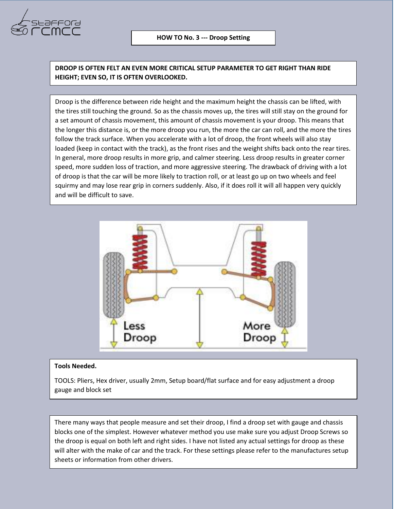

**DROOP IS OFTEN FELT AN EVEN MORE CRITICAL SETUP PARAMETER TO GET RIGHT THAN RIDE HEIGHT; EVEN SO, IT IS OFTEN OVERLOOKED.**

Droop is the difference between ride height and the maximum height the chassis can be lifted, with the tires still touching the ground. So as the chassis moves up, the tires will still stay on the ground for a set amount of chassis movement, this amount of chassis movement is your droop. This means that the longer this distance is, or the more droop you run, the more the car can roll, and the more the tires follow the track surface. When you accelerate with a lot of droop, the front wheels will also stay loaded (keep in contact with the track), as the front rises and the weight shifts back onto the rear tires. In general, more droop results in more grip, and calmer steering. Less droop results in greater corner speed, more sudden loss of traction, and more aggressive steering. The drawback of driving with a lot of droop is that the car will be more likely to traction roll, or at least go up on two wheels and feel squirmy and may lose rear grip in corners suddenly. Also, if it does roll it will all happen very quickly and will be difficult to save.



## **Tools Needed.**

TOOLS: Pliers, Hex driver, usually 2mm, Setup board/flat surface and for easy adjustment a droop gauge and block set

There many ways that people measure and set their droop, I find a droop set with gauge and chassis blocks one of the simplest. However whatever method you use make sure you adjust Droop Screws so the droop is equal on both left and right sides. I have not listed any actual settings for droop as these will alter with the make of car and the track. For these settings please refer to the manufactures setup sheets or information from other drivers.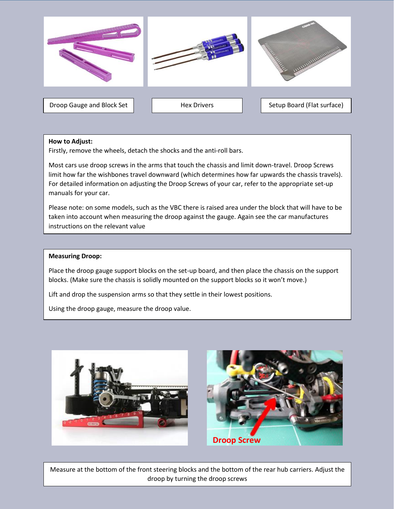

## **How to Adjust:**

Firstly, remove the wheels, detach the shocks and the anti-roll bars.

Most cars use droop screws in the arms that touch the chassis and limit down-travel. Droop Screws limit how far the wishbones travel downward (which determines how far upwards the chassis travels). For detailed information on adjusting the Droop Screws of your car, refer to the appropriate set-up manuals for your car.

Please note: on some models, such as the VBC there is raised area under the block that will have to be taken into account when measuring the droop against the gauge. Again see the car manufactures instructions on the relevant value

## **Measuring Droop:**

Place the droop gauge support blocks on the set-up board, and then place the chassis on the support blocks. (Make sure the chassis is solidly mounted on the support blocks so it won't move.)

Lift and drop the suspension arms so that they settle in their lowest positions.

Using the droop gauge, measure the droop value.





Measure at the bottom of the front steering blocks and the bottom of the rear hub carriers. Adjust the droop by turning the droop screws